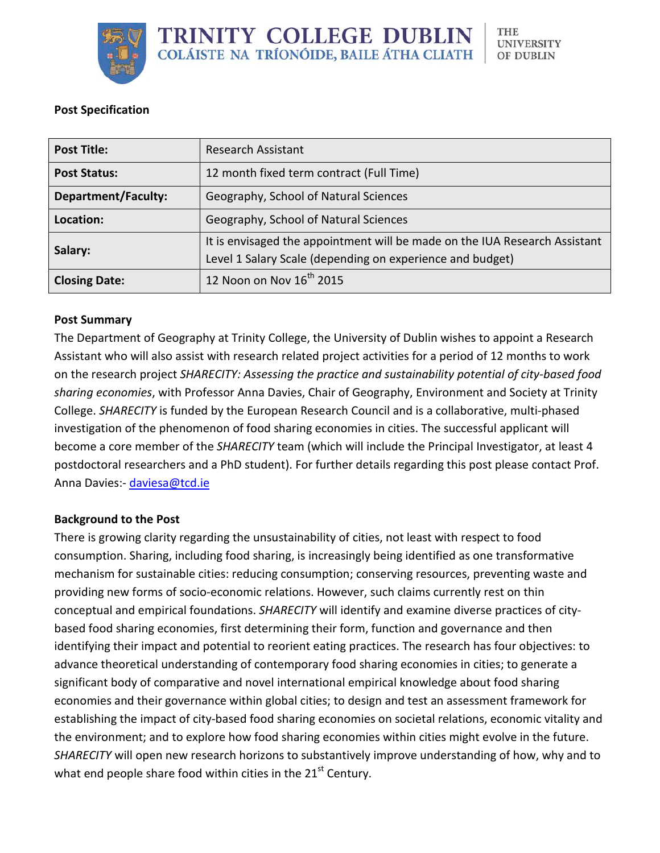

# **Post Specification**

| <b>Post Title:</b>   | <b>Research Assistant</b>                                                                                                               |  |
|----------------------|-----------------------------------------------------------------------------------------------------------------------------------------|--|
| <b>Post Status:</b>  | 12 month fixed term contract (Full Time)                                                                                                |  |
| Department/Faculty:  | Geography, School of Natural Sciences                                                                                                   |  |
| Location:            | Geography, School of Natural Sciences                                                                                                   |  |
| Salary:              | It is envisaged the appointment will be made on the IUA Research Assistant<br>Level 1 Salary Scale (depending on experience and budget) |  |
| <b>Closing Date:</b> | 12 Noon on Nov $16^{th}$ 2015                                                                                                           |  |

### **Post Summary**

The Department of Geography at Trinity College, the University of Dublin wishes to appoint a Research Assistant who will also assist with research related project activities for a period of 12 months to work on the research project *SHARECITY: Assessing the practice and sustainability potential of city-based food sharing economies*, with Professor Anna Davies, Chair of Geography, Environment and Society at Trinity College. *SHARECITY* is funded by the European Research Council and is a collaborative, multi-phased investigation of the phenomenon of food sharing economies in cities. The successful applicant will become a core member of the *SHARECITY* team (which will include the Principal Investigator, at least 4 postdoctoral researchers and a PhD student). For further details regarding this post please contact Prof. Anna Davies:- [daviesa@tcd.ie](mailto:daviesa@tcd.ie)

#### **Background to the Post**

There is growing clarity regarding the unsustainability of cities, not least with respect to food consumption. Sharing, including food sharing, is increasingly being identified as one transformative mechanism for sustainable cities: reducing consumption; conserving resources, preventing waste and providing new forms of socio-economic relations. However, such claims currently rest on thin conceptual and empirical foundations. *SHARECITY* will identify and examine diverse practices of citybased food sharing economies, first determining their form, function and governance and then identifying their impact and potential to reorient eating practices. The research has four objectives: to advance theoretical understanding of contemporary food sharing economies in cities; to generate a significant body of comparative and novel international empirical knowledge about food sharing economies and their governance within global cities; to design and test an assessment framework for establishing the impact of city-based food sharing economies on societal relations, economic vitality and the environment; and to explore how food sharing economies within cities might evolve in the future. *SHARECITY* will open new research horizons to substantively improve understanding of how, why and to what end people share food within cities in the  $21<sup>st</sup>$  Century.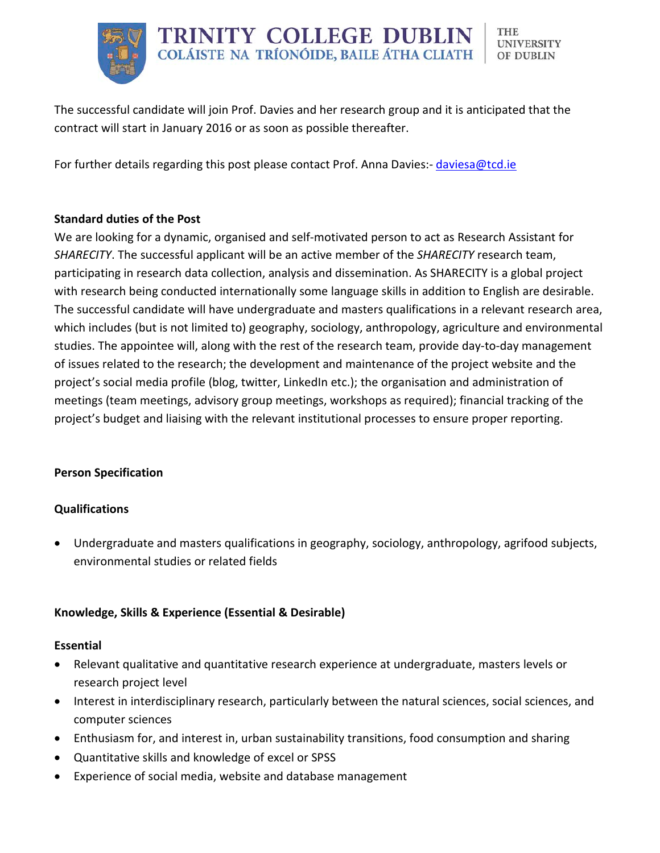

The successful candidate will join Prof. Davies and her research group and it is anticipated that the contract will start in January 2016 or as soon as possible thereafter.

For further details regarding this post please contact Prof. Anna Davies:- [daviesa@tcd.ie](mailto:daviesa@tcd.ie)

### **Standard duties of the Post**

We are looking for a dynamic, organised and self-motivated person to act as Research Assistant for *SHARECITY*. The successful applicant will be an active member of the *SHARECITY* research team, participating in research data collection, analysis and dissemination. As SHARECITY is a global project with research being conducted internationally some language skills in addition to English are desirable. The successful candidate will have undergraduate and masters qualifications in a relevant research area, which includes (but is not limited to) geography, sociology, anthropology, agriculture and environmental studies. The appointee will, along with the rest of the research team, provide day-to-day management of issues related to the research; the development and maintenance of the project website and the project's social media profile (blog, twitter, LinkedIn etc.); the organisation and administration of meetings (team meetings, advisory group meetings, workshops as required); financial tracking of the project's budget and liaising with the relevant institutional processes to ensure proper reporting.

# **Person Specification**

# **Qualifications**

• Undergraduate and masters qualifications in geography, sociology, anthropology, agrifood subjects, environmental studies or related fields

# **Knowledge, Skills & Experience (Essential & Desirable)**

#### **Essential**

- Relevant qualitative and quantitative research experience at undergraduate, masters levels or research project level
- Interest in interdisciplinary research, particularly between the natural sciences, social sciences, and computer sciences
- Enthusiasm for, and interest in, urban sustainability transitions, food consumption and sharing
- Quantitative skills and knowledge of excel or SPSS
- Experience of social media, website and database management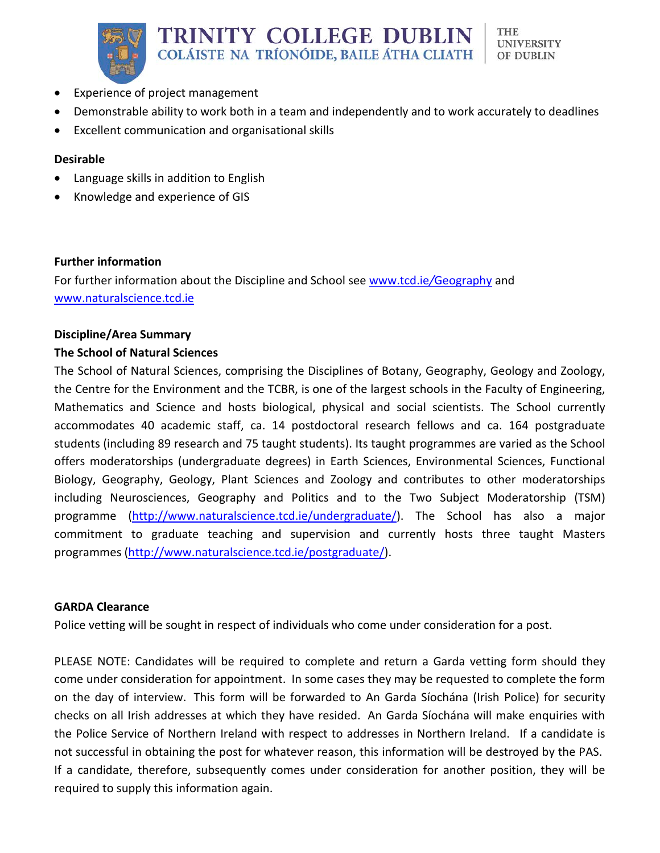

- Experience of project management
- Demonstrable ability to work both in a team and independently and to work accurately to deadlines
- Excellent communication and organisational skills

### **Desirable**

- Language skills in addition to English
- Knowledge and experience of GIS

### **Further information**

For further information about the Discipline and School see [www.tcd.ie](http://www.tcd.ie/Geography)*/*Geography and [www.naturalscience.tcd.ie](http://www.naturalscience.tcd.ie/)

# **Discipline/Area Summary**

### **The School of Natural Sciences**

The School of Natural Sciences, comprising the Disciplines of [Botany,](http://www.tcd.ie/Botany/) [Geography,](http://www.tcd.ie/Geography/) [Geology](http://www.tcd.ie/Geology/) and [Zoology,](http://www.tcd.ie/Zoology/) the [Centre for the Environment](http://www.naturalscience.tcd.ie/CENV2006/index.php) and the TCBR, is one of the largest schools in the [Faculty of Engineering,](http://www.ems.tcd.ie/)  [Mathematics and Science](http://www.ems.tcd.ie/) and hosts biological, physical and social scientists. The School currently accommodates 40 academic staff, ca. 14 postdoctoral research fellows and ca. 164 postgraduate students (including 89 research and 75 taught students). Its taught programmes are varied as the School offers moderatorships (undergraduate degrees) in Earth Sciences, Environmental Sciences, Functional Biology, Geography, Geology, Plant Sciences and Zoology and contributes to other moderatorships including Neurosciences, Geography and Politics and to the Two Subject Moderatorship (TSM) programme [\(http://www.naturalscience.tcd.ie/undergraduate/\)](http://www.naturalscience.tcd.ie/undergraduate/). The School has also a major commitment to graduate teaching and supervision and currently hosts three taught Masters programmes [\(http://www.naturalscience.tcd.ie/postgraduate/\)](http://www.naturalscience.tcd.ie/postgraduate/).

#### **GARDA Clearance**

Police vetting will be sought in respect of individuals who come under consideration for a post.

PLEASE NOTE: Candidates will be required to complete and return a Garda vetting form should they come under consideration for appointment. In some cases they may be requested to complete the form on the day of interview. This form will be forwarded to An Garda Síochána (Irish Police) for security checks on all Irish addresses at which they have resided. An Garda Síochána will make enquiries with the Police Service of Northern Ireland with respect to addresses in Northern Ireland. If a candidate is not successful in obtaining the post for whatever reason, this information will be destroyed by the PAS. If a candidate, therefore, subsequently comes under consideration for another position, they will be required to supply this information again.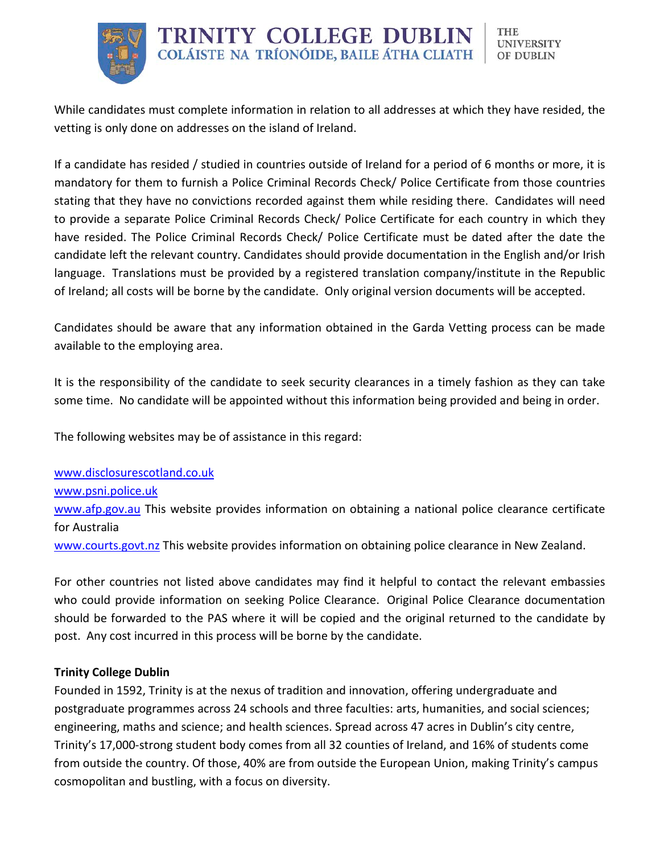While candidates must complete information in relation to all addresses at which they have resided, the vetting is only done on addresses on the island of Ireland.

If a candidate has resided / studied in countries outside of Ireland for a period of 6 months or more, it is mandatory for them to furnish a Police Criminal Records Check/ Police Certificate from those countries stating that they have no convictions recorded against them while residing there. Candidates will need to provide a separate Police Criminal Records Check/ Police Certificate for each country in which they have resided. The Police Criminal Records Check/ Police Certificate must be dated after the date the candidate left the relevant country. Candidates should provide documentation in the English and/or Irish language. Translations must be provided by a registered translation company/institute in the Republic of Ireland; all costs will be borne by the candidate. Only original version documents will be accepted.

Candidates should be aware that any information obtained in the Garda Vetting process can be made available to the employing area.

It is the responsibility of the candidate to seek security clearances in a timely fashion as they can take some time. No candidate will be appointed without this information being provided and being in order.

The following websites may be of assistance in this regard:

[www.disclosurescotland.co.uk](http://www.disclosurescotland.co.uk/) [www.psni.police.uk](http://www.psni.police.uk/) [www.afp.gov.au](http://www.afp.gov.au/) This website provides information on obtaining a national police clearance certificate for Australia [www.courts.govt.nz](http://www.courts.govt.nz/) This website provides information on obtaining police clearance in New Zealand.

For other countries not listed above candidates may find it helpful to contact the relevant embassies who could provide information on seeking Police Clearance. Original Police Clearance documentation should be forwarded to the PAS where it will be copied and the original returned to the candidate by post. Any cost incurred in this process will be borne by the candidate.

# **Trinity College Dublin**

Founded in 1592, Trinity is at the nexus of tradition and innovation, offering undergraduate and postgraduate programmes across 24 schools and three faculties: arts, humanities, and social sciences; engineering, maths and science; and health sciences. Spread across 47 acres in Dublin's city centre, Trinity's 17,000-strong student body comes from all 32 counties of Ireland, and 16% of students come from outside the country. Of those, 40% are from outside the European Union, making Trinity's campus cosmopolitan and bustling, with a focus on diversity.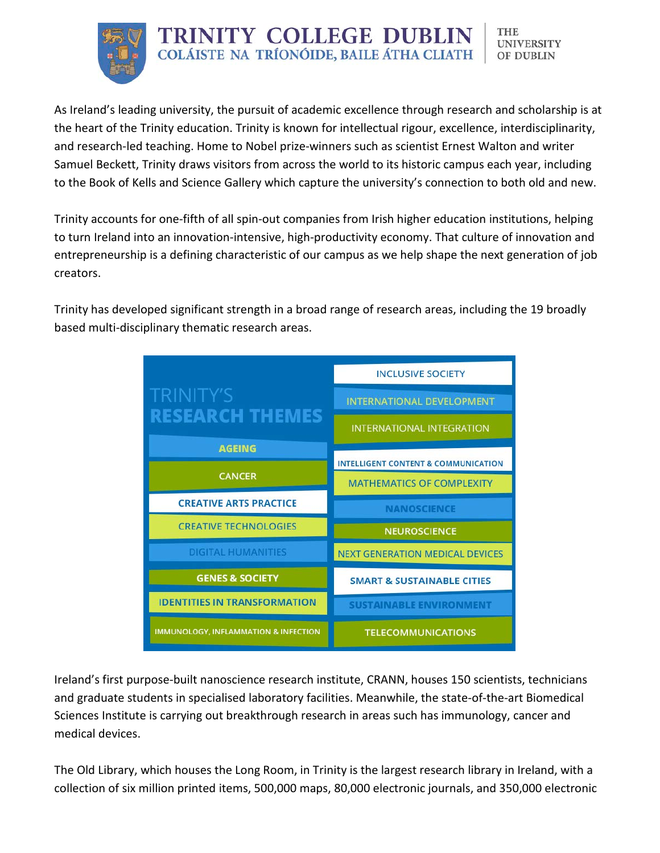

As Ireland's leading university, the pursuit of academic excellence through research and scholarship is at the heart of the Trinity education. Trinity is known for intellectual rigour, excellence, interdisciplinarity, and research-led teaching. Home to Nobel prize-winners such as scientist Ernest Walton and writer Samuel Beckett, Trinity draws visitors from across the world to its historic campus each year, including to the Book of Kells and Science Gallery which capture the university's connection to both old and new.

Trinity accounts for one-fifth of all spin-out companies from Irish higher education institutions, helping to turn Ireland into an innovation-intensive, high-productivity economy. That culture of innovation and entrepreneurship is a defining characteristic of our campus as we help shape the next generation of job creators.

Trinity has developed significant strength in a broad range of research areas, including the 19 broadly based multi-disciplinary thematic research areas.

|                                                 | <b>INCLUSIVE SOCIETY</b>                       |
|-------------------------------------------------|------------------------------------------------|
| TRINITY'S                                       | <b>INTERNATIONAL DEVELOPMENT</b>               |
| <b>RESEARCH THEMES</b>                          | <b>INTERNATIONAL INTEGRATION</b>               |
| <b>AGEING</b>                                   |                                                |
|                                                 | <b>INTELLIGENT CONTENT &amp; COMMUNICATION</b> |
| <b>CANCER</b>                                   | <b>MATHEMATICS OF COMPLEXITY</b>               |
| <b>CREATIVE ARTS PRACTICE</b>                   | <b>NANOSCIENCE</b>                             |
| <b>CREATIVE TECHNOLOGIES</b>                    | <b>NEUROSCIENCE</b>                            |
| <b>DIGITAL HUMANITIES</b>                       | <b>NEXT GENERATION MEDICAL DEVICES</b>         |
| <b>GENES &amp; SOCIETY</b>                      | <b>SMART &amp; SUSTAINABLE CITIES</b>          |
| <b>IDENTITIES IN TRANSFORMATION</b>             | <b>SUSTAINABLE ENVIRONMENT</b>                 |
| <b>IMMUNOLOGY, INFLAMMATION &amp; INFECTION</b> | <b>TELECOMMUNICATIONS</b>                      |

Ireland's first purpose-built nanoscience research institute, CRANN, houses 150 scientists, technicians and graduate students in specialised laboratory facilities. Meanwhile, the state-of-the-art Biomedical Sciences Institute is carrying out breakthrough research in areas such has immunology, cancer and medical devices.

The Old Library, which houses the Long Room, in Trinity is the largest research library in Ireland, with a collection of six million printed items, 500,000 maps, 80,000 electronic journals, and 350,000 electronic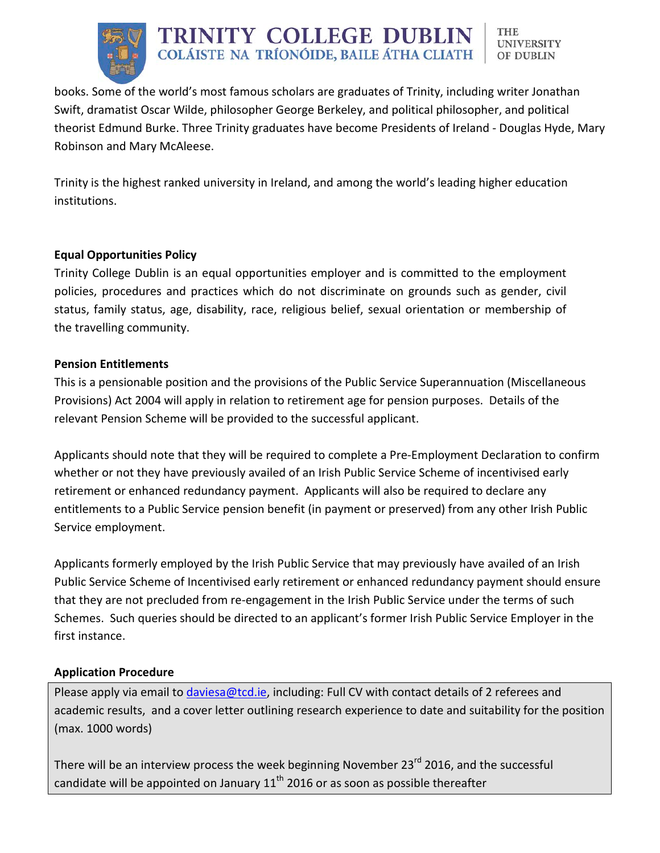

books. Some of the world's most famous scholars are graduates of Trinity, including writer Jonathan Swift, dramatist Oscar Wilde, philosopher George Berkeley, and political philosopher, and political theorist Edmund Burke. Three Trinity graduates have become Presidents of Ireland - Douglas Hyde, Mary Robinson and Mary McAleese.

Trinity is the highest ranked university in Ireland, and among the world's leading higher education institutions.

# **Equal Opportunities Policy**

Trinity College Dublin is an equal opportunities employer and is committed to the employment policies, procedures and practices which do not discriminate on grounds such as gender, civil status, family status, age, disability, race, religious belief, sexual orientation or membership of the travelling community.

# **Pension Entitlements**

This is a pensionable position and the provisions of the Public Service Superannuation (Miscellaneous Provisions) Act 2004 will apply in relation to retirement age for pension purposes. Details of the relevant Pension Scheme will be provided to the successful applicant.

Applicants should note that they will be required to complete a Pre-Employment Declaration to confirm whether or not they have previously availed of an Irish Public Service Scheme of incentivised early retirement or enhanced redundancy payment. Applicants will also be required to declare any entitlements to a Public Service pension benefit (in payment or preserved) from any other Irish Public Service employment.

Applicants formerly employed by the Irish Public Service that may previously have availed of an Irish Public Service Scheme of Incentivised early retirement or enhanced redundancy payment should ensure that they are not precluded from re-engagement in the Irish Public Service under the terms of such Schemes. Such queries should be directed to an applicant's former Irish Public Service Employer in the first instance.

# **Application Procedure**

Please apply via email to [daviesa@tcd.ie,](mailto:daviesa@tcd.ie) including: Full CV with contact details of 2 referees and academic results, and a cover letter outlining research experience to date and suitability for the position (max. 1000 words)

There will be an interview process the week beginning November  $23^{rd}$  2016, and the successful candidate will be appointed on January  $11<sup>th</sup>$  2016 or as soon as possible thereafter